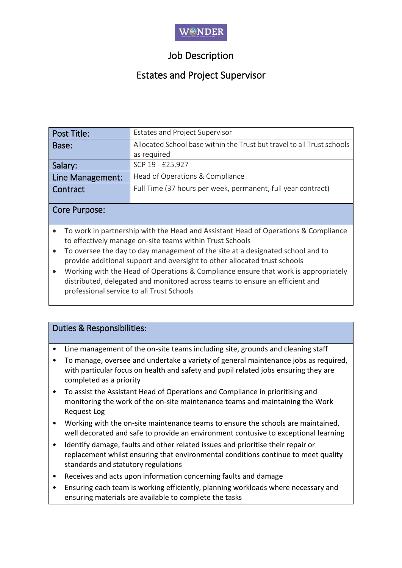

# Job Description

# Estates and Project Supervisor

| Post Title:      | <b>Estates and Project Supervisor</b>                                  |  |  |  |
|------------------|------------------------------------------------------------------------|--|--|--|
| Base:            | Allocated School base within the Trust but travel to all Trust schools |  |  |  |
|                  | as required                                                            |  |  |  |
| Salary:          | SCP 19 - £25,927                                                       |  |  |  |
| Line Management: | Head of Operations & Compliance                                        |  |  |  |
| Contract         | Full Time (37 hours per week, permanent, full year contract)           |  |  |  |
|                  |                                                                        |  |  |  |

#### Core Purpose:

- To work in partnership with the Head and Assistant Head of Operations & Compliance to effectively manage on-site teams within Trust Schools
- To oversee the day to day management of the site at a designated school and to provide additional support and oversight to other allocated trust schools
- Working with the Head of Operations & Compliance ensure that work is appropriately distributed, delegated and monitored across teams to ensure an efficient and professional service to all Trust Schools

### Duties & Responsibilities:

• Line management of the on-site teams including site, grounds and cleaning staff

- To manage, oversee and undertake a variety of general maintenance jobs as required, with particular focus on health and safety and pupil related jobs ensuring they are completed as a priority
- To assist the Assistant Head of Operations and Compliance in prioritising and monitoring the work of the on-site maintenance teams and maintaining the Work Request Log
- Working with the on-site maintenance teams to ensure the schools are maintained, well decorated and safe to provide an environment contusive to exceptional learning
- Identify damage, faults and other related issues and prioritise their repair or replacement whilst ensuring that environmental conditions continue to meet quality standards and statutory regulations
- Receives and acts upon information concerning faults and damage
- Ensuring each team is working efficiently, planning workloads where necessary and ensuring materials are available to complete the tasks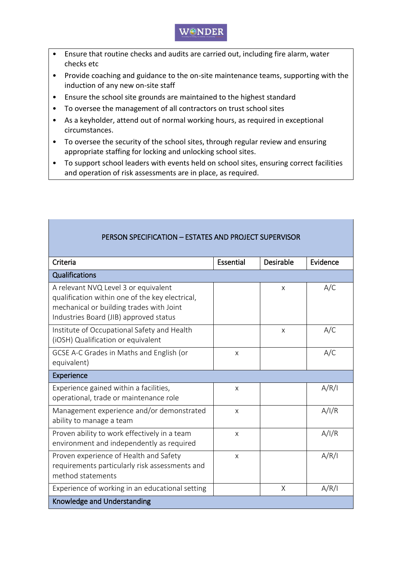### WONDER

- Ensure that routine checks and audits are carried out, including fire alarm, water checks etc
- Provide coaching and guidance to the on-site maintenance teams, supporting with the induction of any new on-site staff
- Ensure the school site grounds are maintained to the highest standard
- To oversee the management of all contractors on trust school sites
- As a keyholder, attend out of normal working hours, as required in exceptional circumstances.
- To oversee the security of the school sites, through regular review and ensuring appropriate staffing for locking and unlocking school sites.
- To support school leaders with events held on school sites, ensuring correct facilities and operation of risk assessments are in place, as required.

| PERSON SPECIFICATION - ESTATES AND PROJECT SUPERVISOR                                                                                                                         |           |                  |          |  |  |
|-------------------------------------------------------------------------------------------------------------------------------------------------------------------------------|-----------|------------------|----------|--|--|
| Criteria                                                                                                                                                                      | Essential | <b>Desirable</b> | Evidence |  |  |
| Qualifications                                                                                                                                                                |           |                  |          |  |  |
| A relevant NVQ Level 3 or equivalent<br>qualification within one of the key electrical,<br>mechanical or building trades with Joint<br>Industries Board (JIB) approved status |           | X                | A/C      |  |  |
| Institute of Occupational Safety and Health<br>(iOSH) Qualification or equivalent                                                                                             |           | $\mathsf{X}$     | A/C      |  |  |
| GCSE A-C Grades in Maths and English (or<br>equivalent)                                                                                                                       | X         |                  | A/C      |  |  |
| Experience                                                                                                                                                                    |           |                  |          |  |  |
| Experience gained within a facilities,<br>operational, trade or maintenance role                                                                                              | X         |                  | A/R/I    |  |  |
| Management experience and/or demonstrated<br>ability to manage a team                                                                                                         | X         |                  | A/I/R    |  |  |
| Proven ability to work effectively in a team<br>environment and independently as required                                                                                     | X         |                  | A/I/R    |  |  |
| Proven experience of Health and Safety<br>requirements particularly risk assessments and<br>method statements                                                                 | X         |                  | A/R/I    |  |  |
| Experience of working in an educational setting                                                                                                                               |           | Χ                | A/R/I    |  |  |
| Knowledge and Understanding                                                                                                                                                   |           |                  |          |  |  |